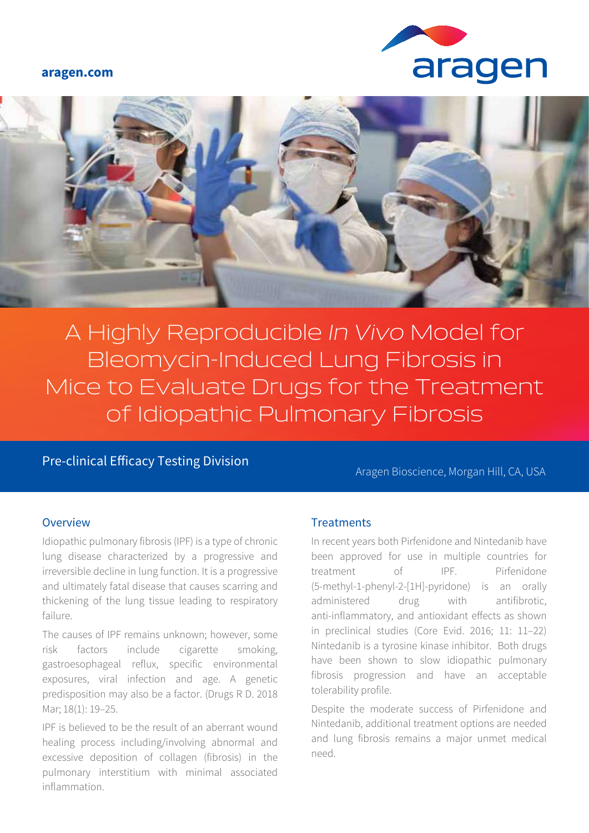#### **aragen.com**





A Highly Reproducible *In Vivo* Model for Bleomycin-Induced Lung Fibrosis in Mice to Evaluate Drugs for the Treatment of Idiopathic Pulmonary Fibrosis

Pre-clinical Efficacy Testing Division Aragen Bioscience, Morgan Hill, CA, USA

### Overview

Idiopathic pulmonary fibrosis (IPF) is a type of chronic lung disease characterized by a progressive and irreversible decline in lung function. It is a progressive and ultimately fatal disease that causes scarring and thickening of the lung tissue leading to respiratory failure.

The causes of IPF remains unknown; however, some risk factors include cigarette smoking, gastroesophageal reflux, specific environmental exposures, viral infection and age. A genetic predisposition may also be a factor. (Drugs R D. 2018 Mar; 18(1): 19–25.

IPF is believed to be the result of an aberrant wound healing process including/involving abnormal and excessive deposition of collagen (fibrosis) in the pulmonary interstitium with minimal associated inflammation.

### **Treatments**

In recent years both Pirfenidone and Nintedanib have been approved for use in multiple countries for treatment of IPF. Pirfenidone (5-methyl-1-phenyl-2-[1H]-pyridone) is an orally administered drug with antifibrotic, anti-inflammatory, and antioxidant effects as shown in preclinical studies (Core Evid. 2016; 11: 11–22) Nintedanib is a tyrosine kinase inhibitor. Both drugs have been shown to slow idiopathic pulmonary fibrosis progression and have an acceptable tolerability profile.

Despite the moderate success of Pirfenidone and Nintedanib, additional treatment options are needed and lung fibrosis remains a major unmet medical need.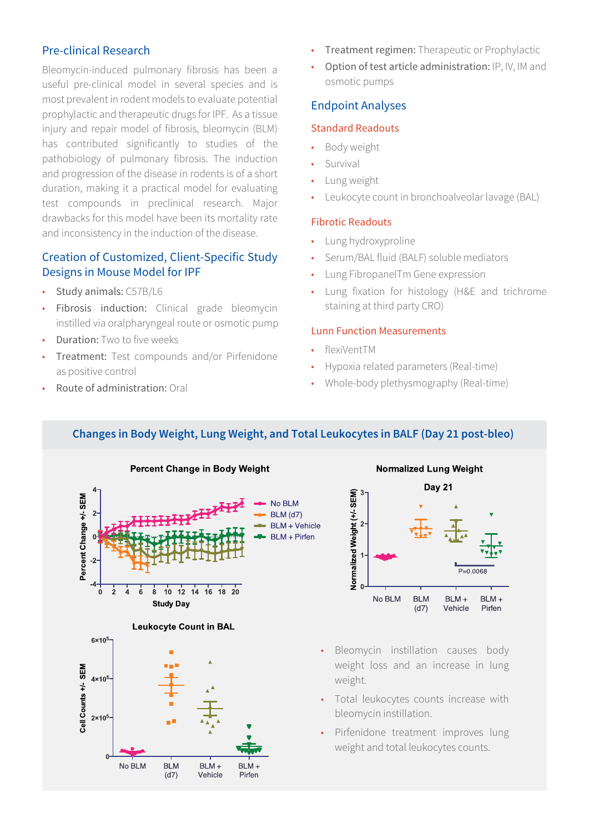# Pre-clinical Research

Bleomycin-induced pulmonary fibrosis has been a useful pre-clinical model in several species and is most prevalent in rodent models to evaluate potential prophylactic and therapeutic drugs for IPF. As a tissue injury and repair model of fibrosis, bleomycin (BLM) has contributed significantly to studies of the pathobiology of pulmonary fibrosis. The induction and progression of the disease in rodents is of a short duration, making it a practical model for evaluating test compounds in preclinical research. Major drawbacks for this model have been its mortality rate and inconsistency in the induction of the disease.

## Creation of Customized, Client-Specific Study Designs in Mouse Model for IPF

- Study animals: C57B/L6
- Fibrosis induction: Clinical grade bleomycin instilled via oralpharyngeal route or osmotic pump
- Duration: Two to five weeks
- Treatment: Test compounds and/or Pirfenidone as positive control
- Route of administration: Oral
- **Treatment regimen:** Therapeutic or Prophylactic
- Option of test article administration: IP, IV, IM and osmotic pumps

### Endpoint Analyses

### Standard Readouts

- Body weight
- **Survival**
- Lung weight
- Leukocyte count in bronchoalveolar lavage (BAL)

#### Fibrotic Readouts

- Lung hydroxyproline
- Serum/BAL fluid (BALF) soluble mediators
- Lung FibropanelTm Gene expression
- Lung fixation for histology (H&E and trichrome staining at third party CRO)

### Lunn Function Measurements

- flexiVentTM
- Hypoxia related parameters (Real-time)
- Whole-body plethysmography (Real-time)

# Changes in Body Weight, Lung Weight, and Total Leukocytes in BALF (Day 21 post-bleo)









- Bleomycin instillation causes body weight loss and an increase in lung weight.
- Total leukocytes counts increase with bleomycin instillation.
- Pirfenidone treatment improves lung weight and total leukocytes counts.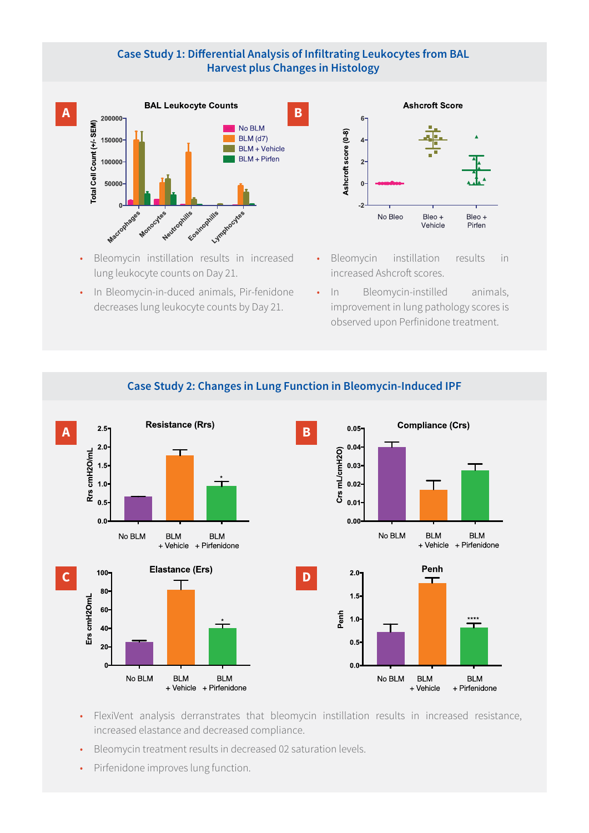### Case Study 1: Differential Analysis of Infiltrating Leukocytes from BAL **Harvest plus Changes in Histology**



- Bleomycin instillation results in increased lung leukocyte counts on Day 21.
- In Bleomycin-in-duced animals, Pir-fenidone decreases lung leukocyte counts by Day 21.



- Bleomycin instillation results in increased Ashcroft scores.
- In Bleomycin-instilled animals, improvement in lung pathology scores is observed upon Perfinidone treatment.



# Case Study 2: Changes in Lung Function in Bleomycin-Induced IPF

- FlexiVent analysis derranstrates that bleomycin instillation results in increased resistance, increased elastance and decreased compliance.
- Bleomycin treatment results in decreased 02 saturation levels.
- Pirfenidone improves lung function.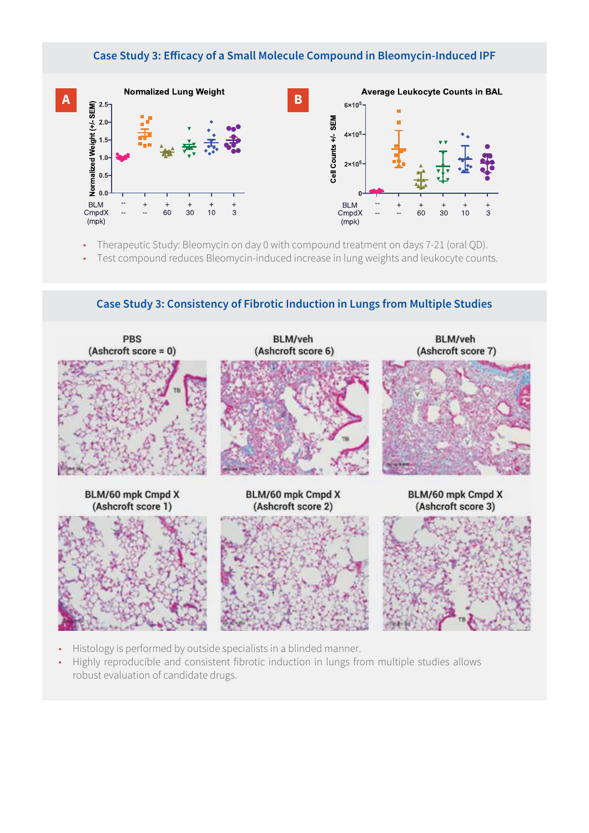### Case Study 3: Efficacy of a Small Molecule Compound in Bleomycin-Induced IPF



- Therapeutic Study: Bleomycin on day 0 with compound treatment on days 7-21 (oral QD).
- Test compound reduces Bleomycin-induced increase in lung weights and leukocyte counts.

PBS **BLM/veh** BLM/veh  $(Ashcroft score = 0)$ (Ashcroft score 6) (Ashcroft score 7) BLM/60 mpk Cmpd X BLM/60 mpk Cmpd X BLM/60 mpk Cmpd X (Ashcroft score 1) (Ashcroft score 2) (Ashcroft score 3)

Case Study 3: Consistency of Fibrotic Induction in Lungs from Multiple Studies

- Histology is performed by outside specialists in a blinded manner.
- Highly reproducible and consistent fibrotic induction in lungs from multiple studies allows robust evaluation of candidate drugs.